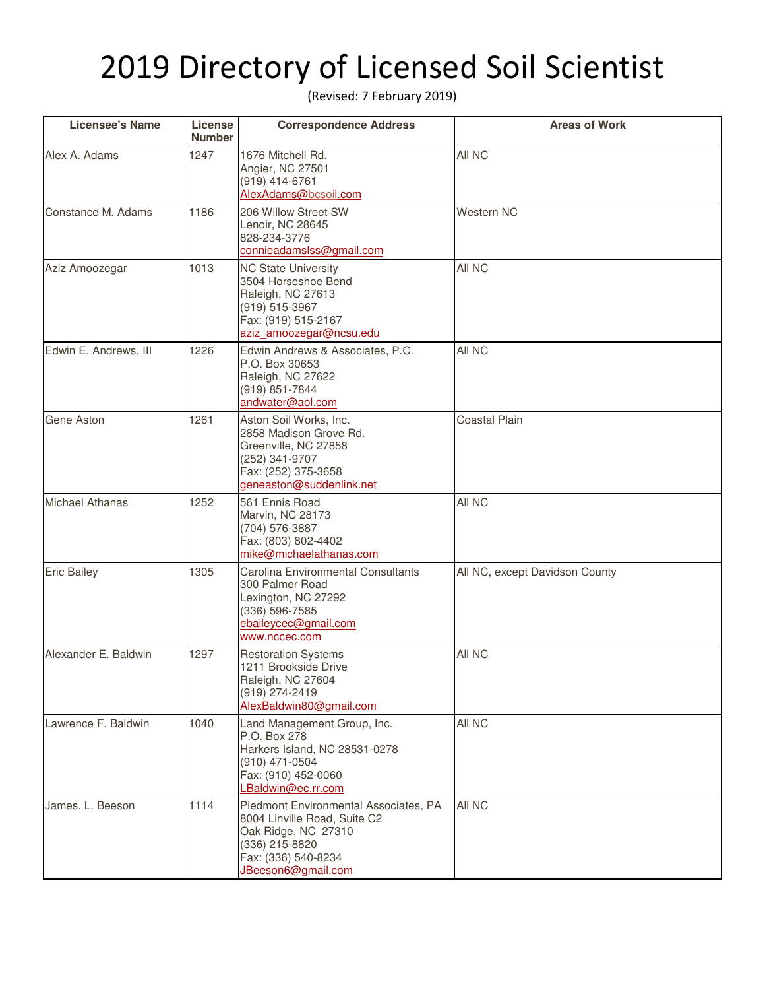## 2019 Directory of Licensed Soil Scientist

(Revised: 7 February 2019)

| <b>Licensee's Name</b> | License<br><b>Number</b> | <b>Correspondence Address</b>                                                                                                                               | <b>Areas of Work</b>           |
|------------------------|--------------------------|-------------------------------------------------------------------------------------------------------------------------------------------------------------|--------------------------------|
| Alex A. Adams          | 1247                     | 1676 Mitchell Rd.<br>Angier, NC 27501<br>(919) 414-6761<br>AlexAdams@bcsoil.com                                                                             | All NC                         |
| Constance M. Adams     | 1186                     | 206 Willow Street SW<br>Lenoir, NC 28645<br>828-234-3776<br>connieadamslss@gmail.com                                                                        | Western NC                     |
| Aziz Amoozegar         | 1013                     | <b>NC State University</b><br>3504 Horseshoe Bend<br>Raleigh, NC 27613<br>(919) 515-3967<br>Fax: (919) 515-2167<br>aziz amoozegar@ncsu.edu                  | All NC                         |
| Edwin E. Andrews, III  | 1226                     | Edwin Andrews & Associates, P.C.<br>P.O. Box 30653<br>Raleigh, NC 27622<br>(919) 851-7844<br>andwater@aol.com                                               | All NC                         |
| Gene Aston             | 1261                     | Aston Soil Works, Inc.<br>2858 Madison Grove Rd.<br>Greenville, NC 27858<br>(252) 341-9707<br>Fax: (252) 375-3658<br>geneaston@suddenlink.net               | <b>Coastal Plain</b>           |
| <b>Michael Athanas</b> | 1252                     | 561 Ennis Road<br>Marvin, NC 28173<br>(704) 576-3887<br>Fax: (803) 802-4402<br>mike@michaelathanas.com                                                      | All NC                         |
| <b>Eric Bailey</b>     | 1305                     | Carolina Environmental Consultants<br>300 Palmer Road<br>Lexington, NC 27292<br>(336) 596-7585<br>ebaileycec@gmail.com<br>www.nccec.com                     | All NC, except Davidson County |
| Alexander E. Baldwin   | 1297                     | <b>Restoration Systems</b><br>1211 Brookside Drive<br>Raleigh, NC 27604<br>(919) 274-2419<br>AlexBaldwin80@gmail.com                                        | All NC                         |
| Lawrence F. Baldwin    | 1040                     | Land Management Group, Inc.<br>P.O. Box 278<br>Harkers Island, NC 28531-0278<br>(910) 471-0504<br>Fax: (910) 452-0060<br>LBaldwin@ec.rr.com                 | All NC                         |
| James. L. Beeson       | 1114                     | Piedmont Environmental Associates, PA<br>8004 Linville Road, Suite C2<br>Oak Ridge, NC 27310<br>(336) 215-8820<br>Fax: (336) 540-8234<br>JBeeson6@gmail.com | All NC                         |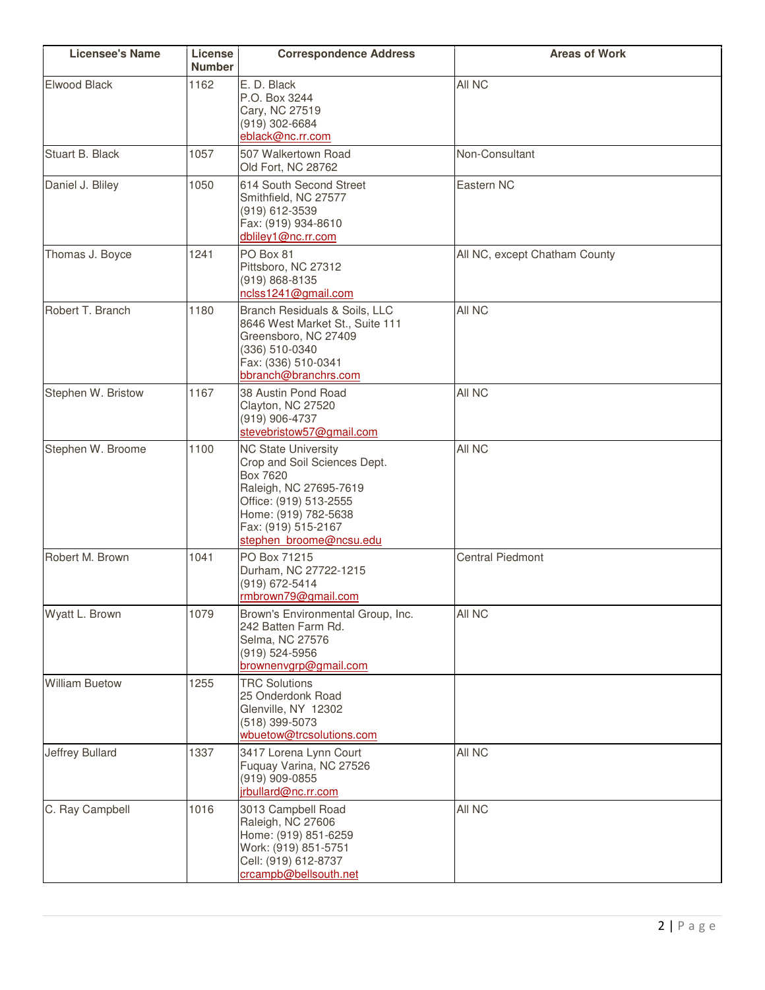| <b>Licensee's Name</b> | License<br><b>Number</b> | <b>Correspondence Address</b>                                                                                                                                                                        | <b>Areas of Work</b>          |
|------------------------|--------------------------|------------------------------------------------------------------------------------------------------------------------------------------------------------------------------------------------------|-------------------------------|
| Elwood Black           | 1162                     | E. D. Black<br>P.O. Box 3244<br>Cary, NC 27519<br>(919) 302-6684<br>eblack@nc.rr.com                                                                                                                 | All NC                        |
| Stuart B. Black        | 1057                     | 507 Walkertown Road<br>Old Fort, NC 28762                                                                                                                                                            | Non-Consultant                |
| Daniel J. Bliley       | 1050                     | 614 South Second Street<br>Smithfield, NC 27577<br>(919) 612-3539<br>Fax: (919) 934-8610<br>dbliley1@nc.rr.com                                                                                       | Eastern NC                    |
| Thomas J. Boyce        | 1241                     | PO Box 81<br>Pittsboro, NC 27312<br>(919) 868-8135<br>nclss1241@gmail.com                                                                                                                            | All NC, except Chatham County |
| Robert T. Branch       | 1180                     | Branch Residuals & Soils, LLC<br>8646 West Market St., Suite 111<br>Greensboro, NC 27409<br>(336) 510-0340<br>Fax: (336) 510-0341<br>bbranch@branchrs.com                                            | All NC                        |
| Stephen W. Bristow     | 1167                     | 38 Austin Pond Road<br>Clayton, NC 27520<br>(919) 906-4737<br>stevebristow57@gmail.com                                                                                                               | All NC                        |
| Stephen W. Broome      | 1100                     | <b>NC State University</b><br>Crop and Soil Sciences Dept.<br>Box 7620<br>Raleigh, NC 27695-7619<br>Office: (919) 513-2555<br>Home: (919) 782-5638<br>Fax: (919) 515-2167<br>stephen broome@ncsu.edu | All NC                        |
| Robert M. Brown        | 1041                     | PO Box 71215<br>Durham, NC 27722-1215<br>(919) 672-5414<br>rmbrown79@gmail.com                                                                                                                       | <b>Central Piedmont</b>       |
| Wyatt L. Brown         | 1079                     | Brown's Environmental Group, Inc.<br>242 Batten Farm Rd.<br>Selma, NC 27576<br>(919) 524-5956<br>brownenvgrp@gmail.com                                                                               | All NC                        |
| <b>William Buetow</b>  | 1255                     | <b>TRC Solutions</b><br>25 Onderdonk Road<br>Glenville, NY 12302<br>(518) 399-5073<br>wbuetow@trcsolutions.com                                                                                       |                               |
| <b>Jeffrey Bullard</b> | 1337                     | 3417 Lorena Lynn Court<br>Fuquay Varina, NC 27526<br>(919) 909-0855<br>irbullard@nc.rr.com                                                                                                           | All NC                        |
| C. Ray Campbell        | 1016                     | 3013 Campbell Road<br>Raleigh, NC 27606<br>Home: (919) 851-6259<br>Work: (919) 851-5751<br>Cell: (919) 612-8737<br>crcampb@bellsouth.net                                                             | All NC                        |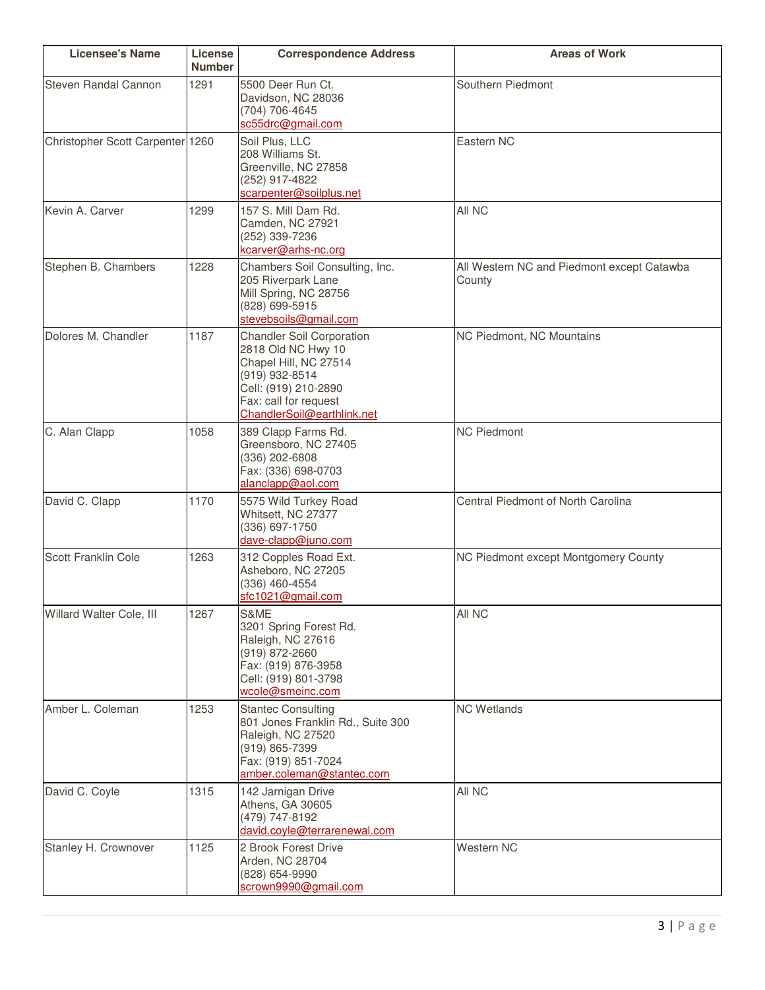| <b>Licensee's Name</b>           | License<br><b>Number</b> | <b>Correspondence Address</b>                                                                                                                                                    | <b>Areas of Work</b>                                 |
|----------------------------------|--------------------------|----------------------------------------------------------------------------------------------------------------------------------------------------------------------------------|------------------------------------------------------|
| <b>Steven Randal Cannon</b>      | 1291                     | 5500 Deer Run Ct.<br>Davidson, NC 28036<br>(704) 706-4645<br>sc55drc@gmail.com                                                                                                   | Southern Piedmont                                    |
| Christopher Scott Carpenter 1260 |                          | Soil Plus, LLC<br>208 Williams St.<br>Greenville, NC 27858<br>(252) 917-4822<br>scarpenter@soilplus.net                                                                          | Eastern NC                                           |
| Kevin A. Carver                  | 1299                     | 157 S. Mill Dam Rd.<br>Camden, NC 27921<br>(252) 339-7236<br>kcarver@arhs-nc.org                                                                                                 | All NC                                               |
| Stephen B. Chambers              | 1228                     | Chambers Soil Consulting, Inc.<br>205 Riverpark Lane<br>Mill Spring, NC 28756<br>(828) 699-5915<br>stevebsoils@gmail.com                                                         | All Western NC and Piedmont except Catawba<br>County |
| Dolores M. Chandler              | 1187                     | <b>Chandler Soil Corporation</b><br>2818 Old NC Hwy 10<br>Chapel Hill, NC 27514<br>(919) 932-8514<br>Cell: (919) 210-2890<br>Fax: call for request<br>ChandlerSoil@earthlink.net | NC Piedmont, NC Mountains                            |
| C. Alan Clapp                    | 1058                     | 389 Clapp Farms Rd.<br>Greensboro, NC 27405<br>(336) 202-6808<br>Fax: (336) 698-0703<br>alanclapp@aol.com                                                                        | <b>NC Piedmont</b>                                   |
| David C. Clapp                   | 1170                     | 5575 Wild Turkey Road<br>Whitsett, NC 27377<br>(336) 697-1750<br>dave-clapp@juno.com                                                                                             | Central Piedmont of North Carolina                   |
| Scott Franklin Cole              | 1263                     | 312 Copples Road Ext.<br>Asheboro, NC 27205<br>(336) 460-4554<br>sfc1021@gmail.com                                                                                               | NC Piedmont except Montgomery County                 |
| Willard Walter Cole, III         | 1267                     | S&ME<br>3201 Spring Forest Rd.<br>Raleigh, NC 27616<br>(919) 872-2660<br>Fax: (919) 876-3958<br>Cell: (919) 801-3798<br>wcole@smeinc.com                                         | All NC                                               |
| Amber L. Coleman                 | 1253                     | <b>Stantec Consulting</b><br>801 Jones Franklin Rd., Suite 300<br>Raleigh, NC 27520<br>(919) 865-7399<br>Fax: (919) 851-7024<br>amber.coleman@stantec.com                        | <b>NC Wetlands</b>                                   |
| David C. Coyle                   | 1315                     | 142 Jarnigan Drive<br>Athens, GA 30605<br>(479) 747-8192<br>david.coyle@terrarenewal.com                                                                                         | All NC                                               |
| Stanley H. Crownover             | 1125                     | 2 Brook Forest Drive<br>Arden, NC 28704<br>(828) 654-9990<br>scrown9990@gmail.com                                                                                                | Western NC                                           |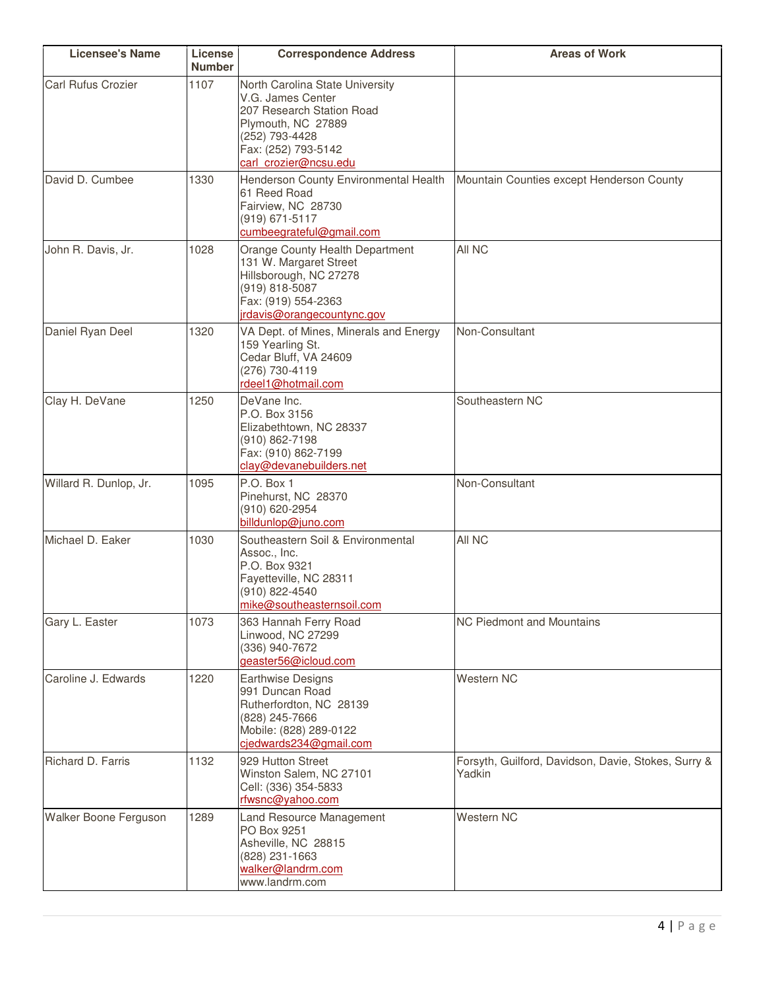| <b>Licensee's Name</b>    | License<br><b>Number</b> | <b>Correspondence Address</b>                                                                                                                                             | <b>Areas of Work</b>                                          |
|---------------------------|--------------------------|---------------------------------------------------------------------------------------------------------------------------------------------------------------------------|---------------------------------------------------------------|
| <b>Carl Rufus Crozier</b> | 1107                     | North Carolina State University<br>V.G. James Center<br>207 Research Station Road<br>Plymouth, NC 27889<br>(252) 793-4428<br>Fax: (252) 793-5142<br>carl crozier@ncsu.edu |                                                               |
| David D. Cumbee           | 1330                     | Henderson County Environmental Health<br>61 Reed Road<br>Fairview, NC 28730<br>(919) 671-5117<br>cumbeegrateful@gmail.com                                                 | Mountain Counties except Henderson County                     |
| John R. Davis, Jr.        | 1028                     | Orange County Health Department<br>131 W. Margaret Street<br>Hillsborough, NC 27278<br>(919) 818-5087<br>Fax: (919) 554-2363<br>irdavis@orangecountync.gov                | All NC                                                        |
| Daniel Ryan Deel          | 1320                     | VA Dept. of Mines, Minerals and Energy<br>159 Yearling St.<br>Cedar Bluff, VA 24609<br>(276) 730-4119<br>rdeel1@hotmail.com                                               | Non-Consultant                                                |
| Clay H. DeVane            | 1250                     | DeVane Inc.<br>P.O. Box 3156<br>Elizabethtown, NC 28337<br>(910) 862-7198<br>Fax: (910) 862-7199<br>clay@devanebuilders.net                                               | Southeastern NC                                               |
| Willard R. Dunlop, Jr.    | 1095                     | P.O. Box 1<br>Pinehurst, NC 28370<br>(910) 620-2954<br>billdunlop@juno.com                                                                                                | Non-Consultant                                                |
| Michael D. Eaker          | 1030                     | Southeastern Soil & Environmental<br>Assoc., Inc.<br>P.O. Box 9321<br>Fayetteville, NC 28311<br>(910) 822-4540<br>mike@southeasternsoil.com                               | All NC                                                        |
| Gary L. Easter            | 1073                     | 363 Hannah Ferry Road<br>Linwood, NC 27299<br>(336) 940-7672<br>geaster56@icloud.com                                                                                      | NC Piedmont and Mountains                                     |
| Caroline J. Edwards       | 1220                     | Earthwise Designs<br>991 Duncan Road<br>Rutherfordton, NC 28139<br>(828) 245-7666<br>Mobile: (828) 289-0122<br>cjedwards234@gmail.com                                     | <b>Western NC</b>                                             |
| Richard D. Farris         | 1132                     | 929 Hutton Street<br>Winston Salem, NC 27101<br>Cell: (336) 354-5833<br>rfwsnc@yahoo.com                                                                                  | Forsyth, Guilford, Davidson, Davie, Stokes, Surry &<br>Yadkin |
| Walker Boone Ferguson     | 1289                     | Land Resource Management<br>PO Box 9251<br>Asheville, NC 28815<br>(828) 231-1663<br>walker@landrm.com<br>www.landrm.com                                                   | Western NC                                                    |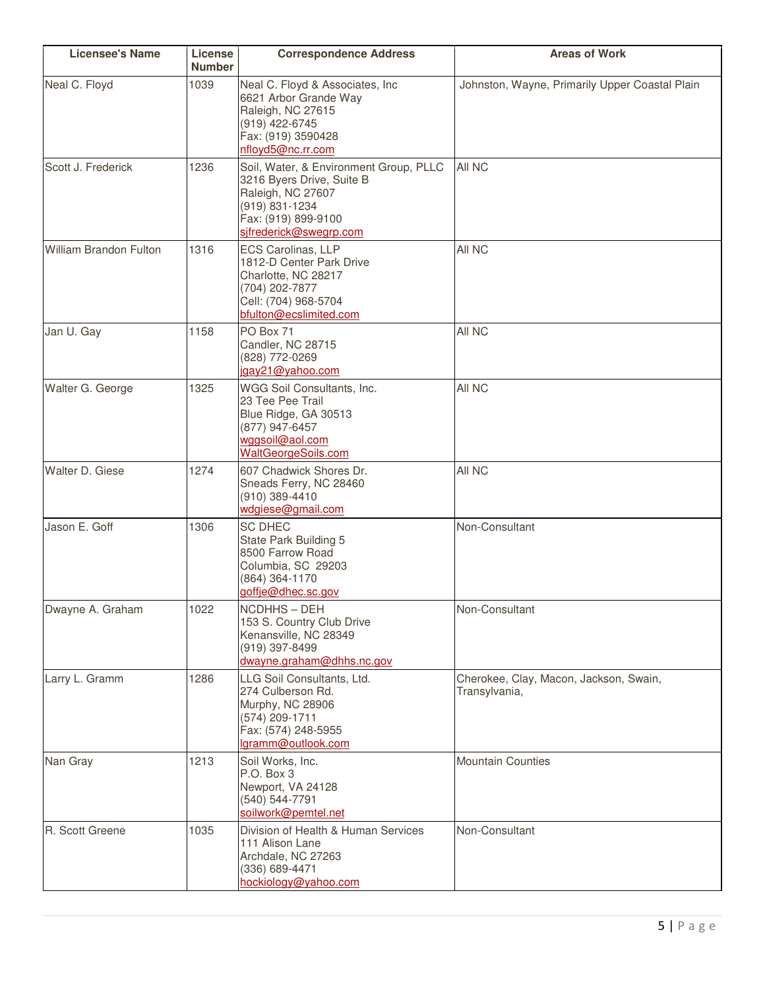| <b>Licensee's Name</b>        | License<br><b>Number</b> | <b>Correspondence Address</b>                                                                                                                               | <b>Areas of Work</b>                                    |
|-------------------------------|--------------------------|-------------------------------------------------------------------------------------------------------------------------------------------------------------|---------------------------------------------------------|
| Neal C. Floyd                 | 1039                     | Neal C. Floyd & Associates, Inc<br>6621 Arbor Grande Way<br>Raleigh, NC 27615<br>(919) 422-6745<br>Fax: (919) 3590428<br>nfloyd5@nc.rr.com                  | Johnston, Wayne, Primarily Upper Coastal Plain          |
| Scott J. Frederick            | 1236                     | Soil, Water, & Environment Group, PLLC<br>3216 Byers Drive, Suite B<br>Raleigh, NC 27607<br>(919) 831-1234<br>Fax: (919) 899-9100<br>sifrederick@swegrp.com | All NC                                                  |
| <b>William Brandon Fulton</b> | 1316                     | ECS Carolinas, LLP<br>1812-D Center Park Drive<br>Charlotte, NC 28217<br>(704) 202-7877<br>Cell: (704) 968-5704<br>bfulton@ecslimited.com                   | All NC                                                  |
| Jan U. Gay                    | 1158                     | PO Box 71<br>Candler, NC 28715<br>(828) 772-0269<br>jgay21@yahoo.com                                                                                        | All NC                                                  |
| Walter G. George              | 1325                     | WGG Soil Consultants, Inc.<br>23 Tee Pee Trail<br>Blue Ridge, GA 30513<br>(877) 947-6457<br>wggsoil@aol.com<br>WaltGeorgeSoils.com                          | All NC                                                  |
| Walter D. Giese               | 1274                     | 607 Chadwick Shores Dr.<br>Sneads Ferry, NC 28460<br>(910) 389-4410<br>wdgiese@gmail.com                                                                    | All NC                                                  |
| Jason E. Goff                 | 1306                     | <b>SC DHEC</b><br>State Park Building 5<br>8500 Farrow Road<br>Columbia, SC 29203<br>(864) 364-1170<br>goffje@dhec.sc.gov                                   | Non-Consultant                                          |
| Dwayne A. Graham              | 1022                     | NCDHHS-DEH<br>153 S. Country Club Drive<br>Kenansville, NC 28349<br>(919) 397-8499<br>dwayne.graham@dhhs.nc.gov                                             | Non-Consultant                                          |
| Larry L. Gramm                | 1286                     | LLG Soil Consultants, Ltd.<br>274 Culberson Rd.<br>Murphy, NC 28906<br>(574) 209-1711<br>Fax: (574) 248-5955<br>lgramm@outlook.com                          | Cherokee, Clay, Macon, Jackson, Swain,<br>Transylvania, |
| Nan Gray                      | 1213                     | Soil Works, Inc.<br>P.O. Box 3<br>Newport, VA 24128<br>(540) 544-7791<br>soilwork@pemtel.net                                                                | <b>Mountain Counties</b>                                |
| R. Scott Greene               | 1035                     | Division of Health & Human Services<br>111 Alison Lane<br>Archdale, NC 27263<br>(336) 689-4471<br>hockiology@yahoo.com                                      | Non-Consultant                                          |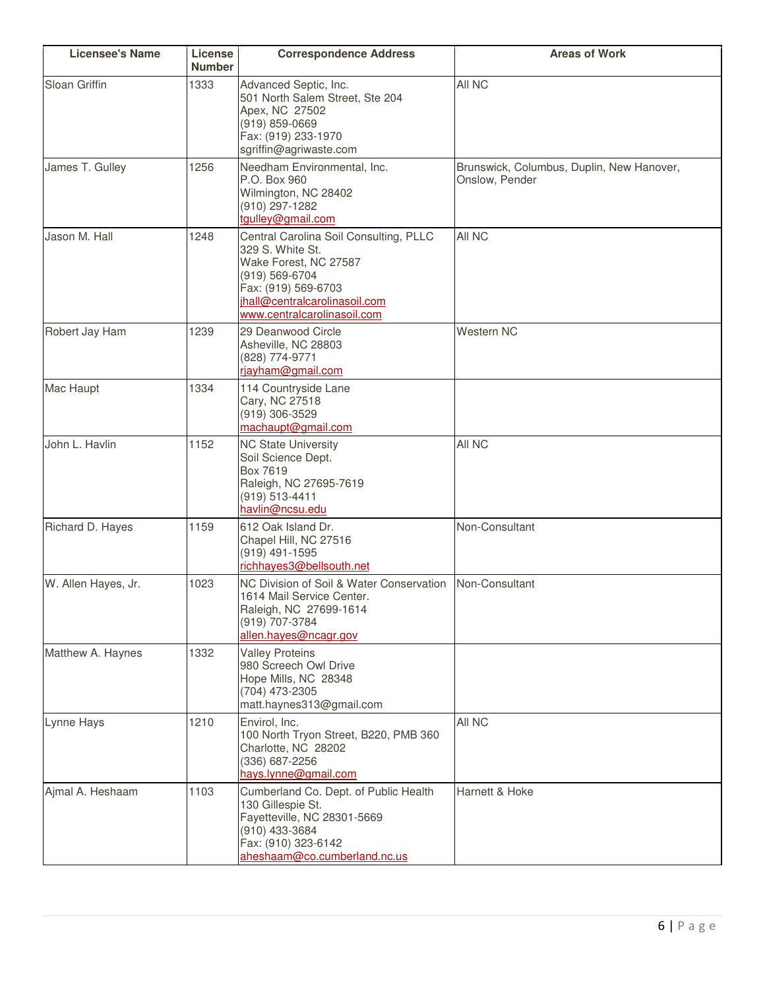| <b>Licensee's Name</b> | License<br><b>Number</b> | <b>Correspondence Address</b>                                                                                                                                                                | <b>Areas of Work</b>                                        |
|------------------------|--------------------------|----------------------------------------------------------------------------------------------------------------------------------------------------------------------------------------------|-------------------------------------------------------------|
| Sloan Griffin          | 1333                     | Advanced Septic, Inc.<br>501 North Salem Street, Ste 204<br>Apex, NC 27502<br>$(919)$ 859-0669<br>Fax: (919) 233-1970<br>sgriffin@agriwaste.com                                              | All NC                                                      |
| James T. Gulley        | 1256                     | Needham Environmental, Inc.<br>P.O. Box 960<br>Wilmington, NC 28402<br>(910) 297-1282<br>tgulley@gmail.com                                                                                   | Brunswick, Columbus, Duplin, New Hanover,<br>Onslow, Pender |
| Jason M. Hall          | 1248                     | Central Carolina Soil Consulting, PLLC<br>329 S. White St.<br>Wake Forest, NC 27587<br>(919) 569-6704<br>Fax: (919) 569-6703<br>jhall@centralcarolinasoil.com<br>www.centralcarolinasoil.com | All NC                                                      |
| Robert Jay Ham         | 1239                     | 29 Deanwood Circle<br>Asheville, NC 28803<br>(828) 774-9771<br>riayham@gmail.com                                                                                                             | Western NC                                                  |
| Mac Haupt              | 1334                     | 114 Countryside Lane<br>Cary, NC 27518<br>(919) 306-3529<br>machaupt@gmail.com                                                                                                               |                                                             |
| John L. Havlin         | 1152                     | <b>NC State University</b><br>Soil Science Dept.<br>Box 7619<br>Raleigh, NC 27695-7619<br>(919) 513-4411<br>havlin@ncsu.edu                                                                  | All NC                                                      |
| Richard D. Hayes       | 1159                     | 612 Oak Island Dr.<br>Chapel Hill, NC 27516<br>(919) 491-1595<br>richhayes3@bellsouth.net                                                                                                    | Non-Consultant                                              |
| W. Allen Hayes, Jr.    | 1023                     | NC Division of Soil & Water Conservation<br>1614 Mail Service Center.<br>Raleigh, NC 27699-1614<br>(919) 707-3784<br>allen.hayes@ncagr.gov                                                   | Non-Consultant                                              |
| Matthew A. Haynes      | 1332                     | <b>Valley Proteins</b><br>980 Screech Owl Drive<br>Hope Mills, NC 28348<br>(704) 473-2305<br>matt.haynes313@gmail.com                                                                        |                                                             |
| Lynne Hays             | 1210                     | Envirol, Inc.<br>100 North Tryon Street, B220, PMB 360<br>Charlotte, NC 28202<br>(336) 687-2256<br>hays.lynne@gmail.com                                                                      | All NC                                                      |
| Ajmal A. Heshaam       | 1103                     | Cumberland Co. Dept. of Public Health<br>130 Gillespie St.<br>Fayetteville, NC 28301-5669<br>(910) 433-3684<br>Fax: (910) 323-6142<br>aheshaam@co.cumberland.nc.us                           | Harnett & Hoke                                              |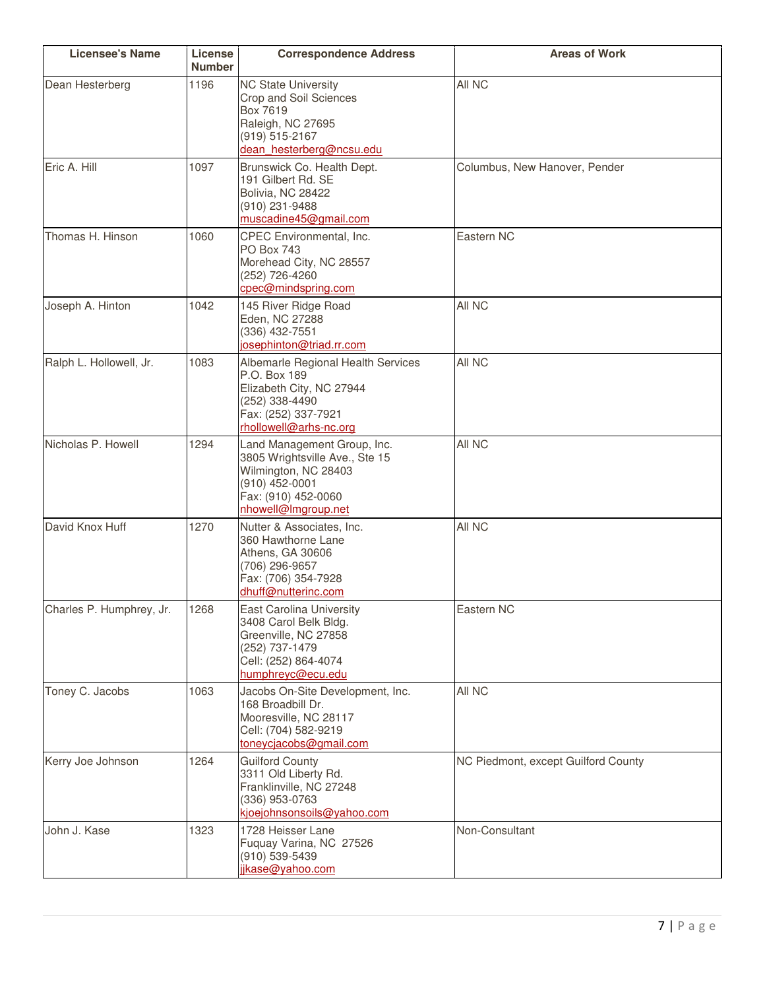| <b>Licensee's Name</b>   | License<br><b>Number</b> | <b>Correspondence Address</b>                                                                                                                         | <b>Areas of Work</b>                |
|--------------------------|--------------------------|-------------------------------------------------------------------------------------------------------------------------------------------------------|-------------------------------------|
| Dean Hesterberg          | 1196                     | <b>NC State University</b><br>Crop and Soil Sciences<br>Box 7619<br>Raleigh, NC 27695<br>(919) 515-2167<br>dean hesterberg@ncsu.edu                   | All NC                              |
| Eric A. Hill             | 1097                     | Brunswick Co. Health Dept.<br>191 Gilbert Rd. SE<br>Bolivia, NC 28422<br>(910) 231-9488<br>muscadine45@gmail.com                                      | Columbus, New Hanover, Pender       |
| Thomas H. Hinson         | 1060                     | CPEC Environmental, Inc.<br><b>PO Box 743</b><br>Morehead City, NC 28557<br>(252) 726-4260<br>cpec@mindspring.com                                     | Eastern NC                          |
| Joseph A. Hinton         | 1042                     | 145 River Ridge Road<br>Eden, NC 27288<br>(336) 432-7551<br>josephinton@triad.rr.com                                                                  | All NC                              |
| Ralph L. Hollowell, Jr.  | 1083                     | Albemarle Regional Health Services<br>P.O. Box 189<br>Elizabeth City, NC 27944<br>(252) 338-4490<br>Fax: (252) 337-7921<br>rhollowell@arhs-nc.org     | All NC                              |
| Nicholas P. Howell       | 1294                     | Land Management Group, Inc.<br>3805 Wrightsville Ave., Ste 15<br>Wilmington, NC 28403<br>(910) 452-0001<br>Fax: (910) 452-0060<br>nhowell@Imgroup.net | All NC                              |
| David Knox Huff          | 1270                     | Nutter & Associates, Inc.<br>360 Hawthorne Lane<br>Athens, GA 30606<br>(706) 296-9657<br>Fax: (706) 354-7928<br>dhuff@nutterinc.com                   | All NC                              |
| Charles P. Humphrey, Jr. | 1268                     | East Carolina University<br>3408 Carol Belk Bldg.<br>Greenville, NC 27858<br>(252) 737-1479<br>Cell: (252) 864-4074<br>humphreyc@ecu.edu              | Eastern NC                          |
| Toney C. Jacobs          | 1063                     | Jacobs On-Site Development, Inc.<br>168 Broadbill Dr.<br>Mooresville, NC 28117<br>Cell: (704) 582-9219<br>toneycjacobs@gmail.com                      | All NC                              |
| Kerry Joe Johnson        | 1264                     | <b>Guilford County</b><br>3311 Old Liberty Rd.<br>Franklinville, NC 27248<br>(336) 953-0763<br>kjoejohnsonsoils@yahoo.com                             | NC Piedmont, except Guilford County |
| John J. Kase             | 1323                     | 1728 Heisser Lane<br>Fuquay Varina, NC 27526<br>(910) 539-5439<br>jikase@yahoo.com                                                                    | Non-Consultant                      |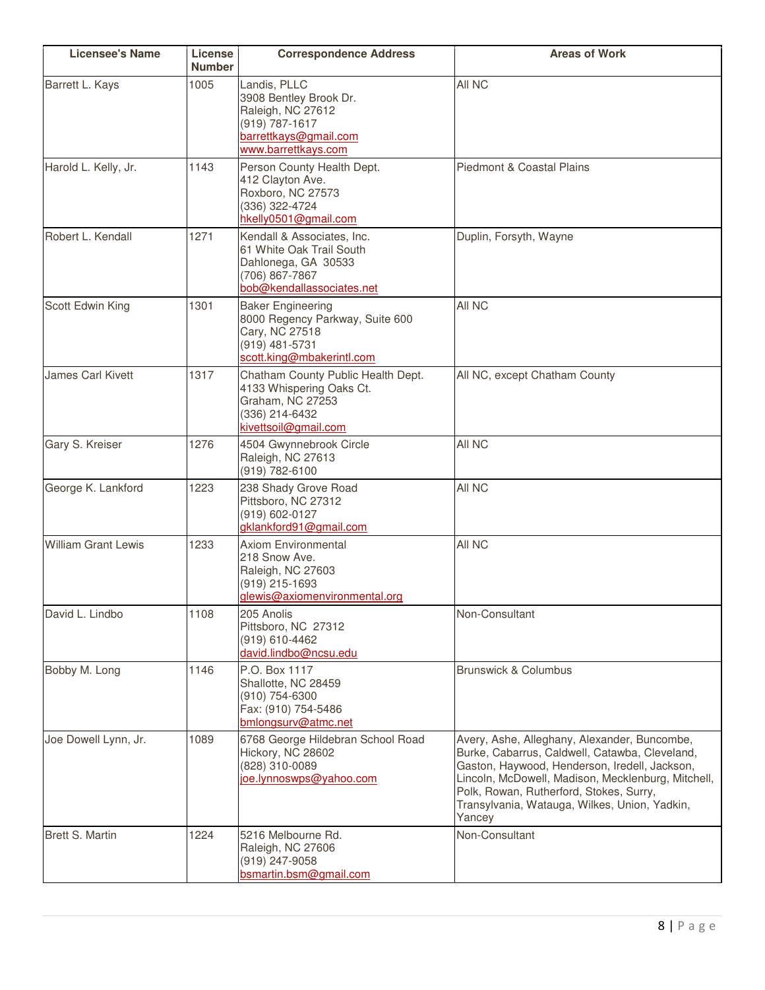| <b>Licensee's Name</b>     | License<br><b>Number</b> | <b>Correspondence Address</b>                                                                                                 | <b>Areas of Work</b>                                                                                                                                                                                                                                                                                        |
|----------------------------|--------------------------|-------------------------------------------------------------------------------------------------------------------------------|-------------------------------------------------------------------------------------------------------------------------------------------------------------------------------------------------------------------------------------------------------------------------------------------------------------|
| Barrett L. Kays            | 1005                     | Landis, PLLC<br>3908 Bentley Brook Dr.<br>Raleigh, NC 27612<br>(919) 787-1617<br>barrettkays@gmail.com<br>www.barrettkays.com | All NC                                                                                                                                                                                                                                                                                                      |
| Harold L. Kelly, Jr.       | 1143                     | Person County Health Dept.<br>412 Clayton Ave.<br>Roxboro, NC 27573<br>(336) 322-4724<br>hkelly0501@gmail.com                 | Piedmont & Coastal Plains                                                                                                                                                                                                                                                                                   |
| Robert L. Kendall          | 1271                     | Kendall & Associates, Inc.<br>61 White Oak Trail South<br>Dahlonega, GA 30533<br>(706) 867-7867<br>bob@kendallassociates.net  | Duplin, Forsyth, Wayne                                                                                                                                                                                                                                                                                      |
| Scott Edwin King           | 1301                     | <b>Baker Engineering</b><br>8000 Regency Parkway, Suite 600<br>Cary, NC 27518<br>(919) 481-5731<br>scott.king@mbakerintl.com  | All NC                                                                                                                                                                                                                                                                                                      |
| <b>James Carl Kivett</b>   | 1317                     | Chatham County Public Health Dept.<br>4133 Whispering Oaks Ct.<br>Graham, NC 27253<br>(336) 214-6432<br>kivettsoil@gmail.com  | All NC, except Chatham County                                                                                                                                                                                                                                                                               |
| Gary S. Kreiser            | 1276                     | 4504 Gwynnebrook Circle<br>Raleigh, NC 27613<br>(919) 782-6100                                                                | All NC                                                                                                                                                                                                                                                                                                      |
| George K. Lankford         | 1223                     | 238 Shady Grove Road<br>Pittsboro, NC 27312<br>(919) 602-0127<br>gklankford91@gmail.com                                       | All NC                                                                                                                                                                                                                                                                                                      |
| <b>William Grant Lewis</b> | 1233                     | <b>Axiom Environmental</b><br>218 Snow Ave.<br>Raleigh, NC 27603<br>(919) 215-1693<br>glewis@axiomenvironmental.org           | All NC                                                                                                                                                                                                                                                                                                      |
| David L. Lindbo            | 1108                     | 205 Anolis<br>Pittsboro, NC 27312<br>(919) 610-4462<br>david.lindbo@ncsu.edu                                                  | Non-Consultant                                                                                                                                                                                                                                                                                              |
| Bobby M. Long              | 1146                     | P.O. Box 1117<br>Shallotte, NC 28459<br>(910) 754-6300<br>Fax: (910) 754-5486<br>bmlongsurv@atmc.net                          | <b>Brunswick &amp; Columbus</b>                                                                                                                                                                                                                                                                             |
| Joe Dowell Lynn, Jr.       | 1089                     | 6768 George Hildebran School Road<br>Hickory, NC 28602<br>(828) 310-0089<br>joe.lynnoswps@yahoo.com                           | Avery, Ashe, Alleghany, Alexander, Buncombe,<br>Burke, Cabarrus, Caldwell, Catawba, Cleveland,<br>Gaston, Haywood, Henderson, Iredell, Jackson,<br>Lincoln, McDowell, Madison, Mecklenburg, Mitchell,<br>Polk, Rowan, Rutherford, Stokes, Surry,<br>Transylvania, Watauga, Wilkes, Union, Yadkin,<br>Yancey |
| Brett S. Martin            | 1224                     | 5216 Melbourne Rd.<br>Raleigh, NC 27606<br>(919) 247-9058<br>bsmartin.bsm@gmail.com                                           | Non-Consultant                                                                                                                                                                                                                                                                                              |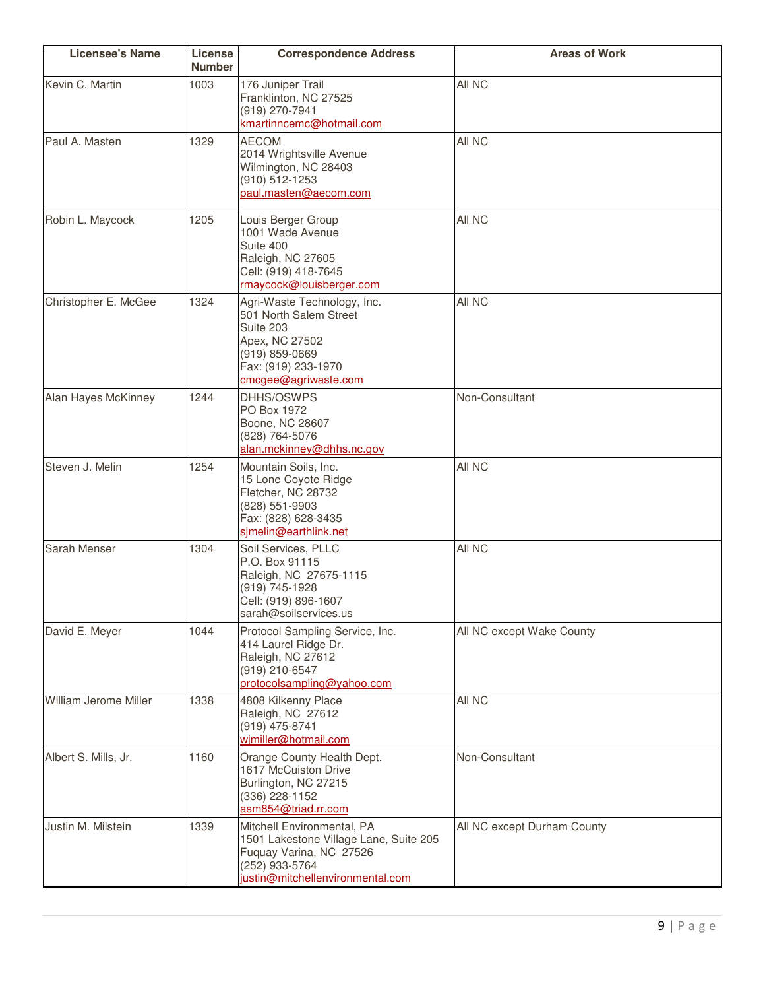| <b>Licensee's Name</b> | License<br><b>Number</b> | <b>Correspondence Address</b>                                                                                                                           | <b>Areas of Work</b>        |
|------------------------|--------------------------|---------------------------------------------------------------------------------------------------------------------------------------------------------|-----------------------------|
| Kevin C. Martin        | 1003                     | 176 Juniper Trail<br>Franklinton, NC 27525<br>(919) 270-7941<br>kmartinncemc@hotmail.com                                                                | All NC                      |
| Paul A. Masten         | 1329                     | <b>AECOM</b><br>2014 Wrightsville Avenue<br>Wilmington, NC 28403<br>(910) 512-1253<br>paul.masten@aecom.com                                             | All NC                      |
| Robin L. Maycock       | 1205                     | Louis Berger Group<br>1001 Wade Avenue<br>Suite 400<br>Raleigh, NC 27605<br>Cell: (919) 418-7645<br>rmaycock@louisberger.com                            | All NC                      |
| Christopher E. McGee   | 1324                     | Agri-Waste Technology, Inc.<br>501 North Salem Street<br>Suite 203<br>Apex, NC 27502<br>$(919)$ 859-0669<br>Fax: (919) 233-1970<br>cmcgee@agriwaste.com | All NC                      |
| Alan Hayes McKinney    | 1244                     | DHHS/OSWPS<br>PO Box 1972<br>Boone, NC 28607<br>(828) 764-5076<br>alan.mckinney@dhhs.nc.gov                                                             | Non-Consultant              |
| Steven J. Melin        | 1254                     | Mountain Soils, Inc.<br>15 Lone Coyote Ridge<br>Fletcher, NC 28732<br>(828) 551-9903<br>Fax: (828) 628-3435<br>simelin@earthlink.net                    | All NC                      |
| Sarah Menser           | 1304                     | Soil Services, PLLC<br>P.O. Box 91115<br>Raleigh, NC 27675-1115<br>(919) 745-1928<br>Cell: (919) 896-1607<br>sarah@soilservices.us                      | All NC                      |
| David E. Meyer         | 1044                     | Protocol Sampling Service, Inc.<br>414 Laurel Ridge Dr.<br>Raleigh, NC 27612<br>(919) 210-6547<br>protocolsampling@yahoo.com                            | All NC except Wake County   |
| William Jerome Miller  | 1338                     | 4808 Kilkenny Place<br>Raleigh, NC 27612<br>(919) 475-8741<br>wjmiller@hotmail.com                                                                      | All NC                      |
| Albert S. Mills, Jr.   | 1160                     | Orange County Health Dept.<br>1617 McCuiston Drive<br>Burlington, NC 27215<br>(336) 228-1152<br>asm854@triad.rr.com                                     | Non-Consultant              |
| Justin M. Milstein     | 1339                     | Mitchell Environmental, PA<br>1501 Lakestone Village Lane, Suite 205<br>Fuquay Varina, NC 27526<br>(252) 933-5764<br>justin@mitchellenvironmental.com   | All NC except Durham County |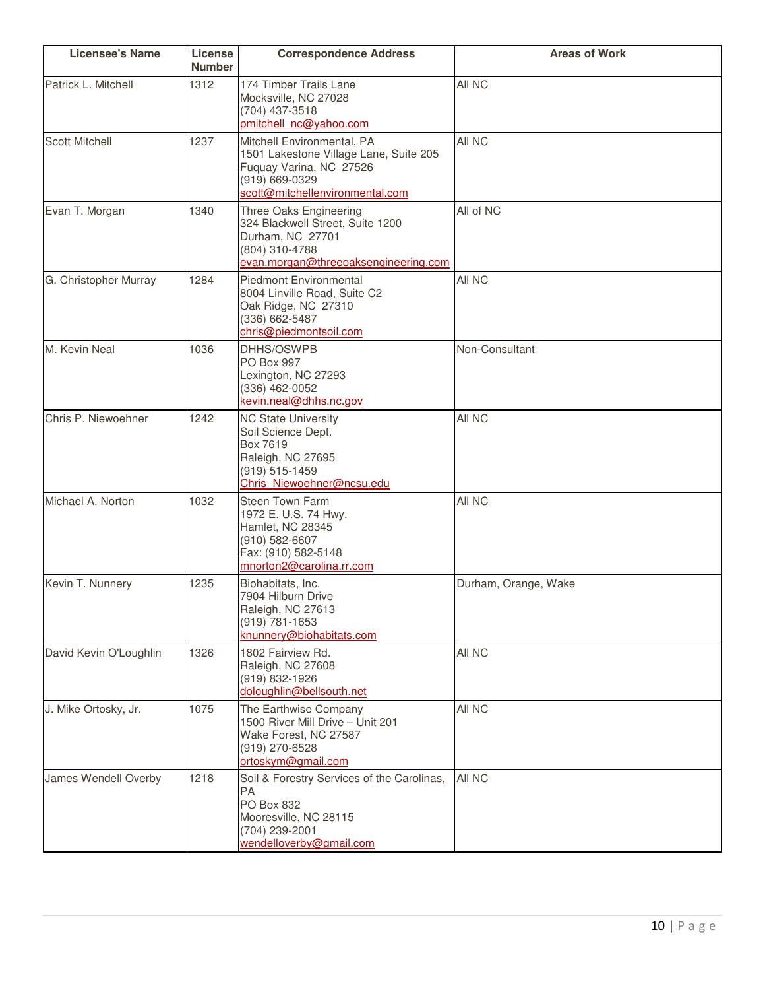| <b>Licensee's Name</b> | License<br><b>Number</b> | <b>Correspondence Address</b>                                                                                                                        | <b>Areas of Work</b> |
|------------------------|--------------------------|------------------------------------------------------------------------------------------------------------------------------------------------------|----------------------|
| Patrick L. Mitchell    | 1312                     | 174 Timber Trails Lane<br>Mocksville, NC 27028<br>(704) 437-3518<br>pmitchell_nc@yahoo.com                                                           | All NC               |
| <b>Scott Mitchell</b>  | 1237                     | Mitchell Environmental, PA<br>1501 Lakestone Village Lane, Suite 205<br>Fuquay Varina, NC 27526<br>(919) 669-0329<br>scott@mitchellenvironmental.com | All NC               |
| Evan T. Morgan         | 1340                     | Three Oaks Engineering<br>324 Blackwell Street, Suite 1200<br>Durham, NC 27701<br>(804) 310-4788<br>evan.morgan@threeoaksengineering.com             | All of NC            |
| G. Christopher Murray  | 1284                     | <b>Piedmont Environmental</b><br>8004 Linville Road, Suite C2<br>Oak Ridge, NC 27310<br>(336) 662-5487<br>chris@piedmontsoil.com                     | All NC               |
| M. Kevin Neal          | 1036                     | DHHS/OSWPB<br>PO Box 997<br>Lexington, NC 27293<br>(336) 462-0052<br>kevin.neal@dhhs.nc.gov                                                          | Non-Consultant       |
| Chris P. Niewoehner    | 1242                     | <b>NC State University</b><br>Soil Science Dept.<br>Box 7619<br>Raleigh, NC 27695<br>(919) 515-1459<br>Chris Niewoehner@ncsu.edu                     | All NC               |
| Michael A. Norton      | 1032                     | Steen Town Farm<br>1972 E. U.S. 74 Hwy.<br><b>Hamlet, NC 28345</b><br>(910) 582-6607<br>Fax: (910) 582-5148<br>mnorton2@carolina.rr.com              | All NC               |
| Kevin T. Nunnery       | 1235                     | Biohabitats, Inc.<br>7904 Hilburn Drive<br>Raleigh, NC 27613<br>(919) 781-1653<br>knunnery@biohabitats.com                                           | Durham, Orange, Wake |
| David Kevin O'Loughlin | 1326                     | 1802 Fairview Rd.<br>Raleigh, NC 27608<br>(919) 832-1926<br>doloughlin@bellsouth.net                                                                 | All NC               |
| J. Mike Ortosky, Jr.   | 1075                     | The Earthwise Company<br>1500 River Mill Drive - Unit 201<br>Wake Forest, NC 27587<br>(919) 270-6528<br>ortoskym@gmail.com                           | All NC               |
| James Wendell Overby   | 1218                     | Soil & Forestry Services of the Carolinas,<br>PA<br>PO Box 832<br>Mooresville, NC 28115<br>(704) 239-2001<br>wendelloverby@gmail.com                 | All NC               |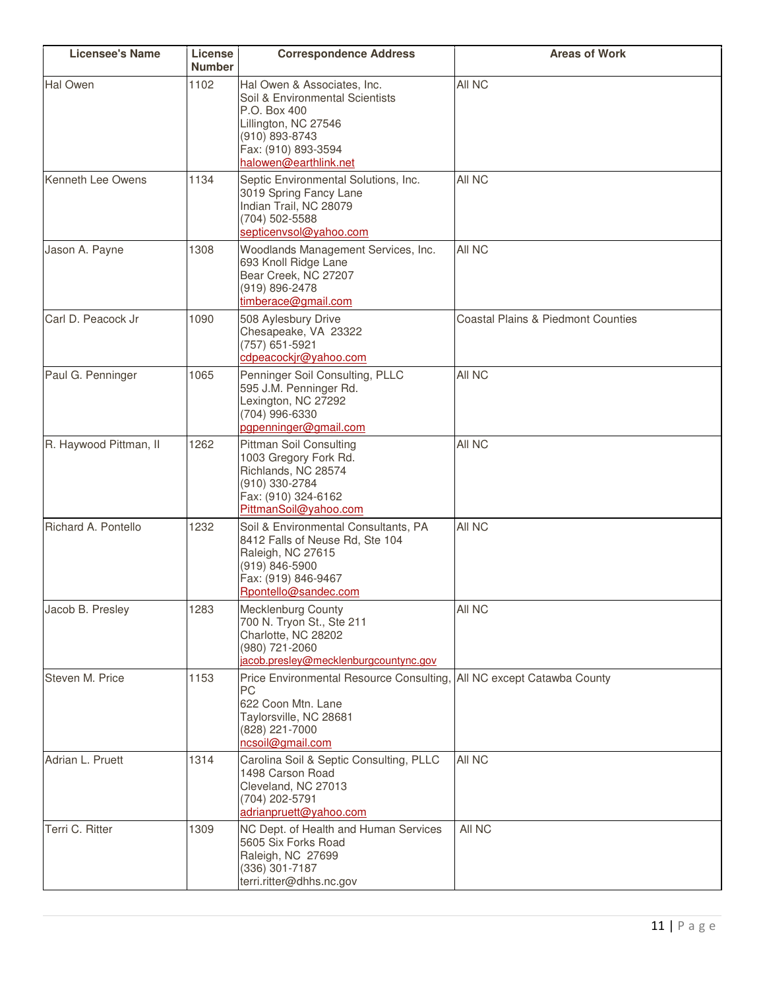| <b>Licensee's Name</b> | License<br><b>Number</b> | <b>Correspondence Address</b>                                                                                                                                            | <b>Areas of Work</b>                          |
|------------------------|--------------------------|--------------------------------------------------------------------------------------------------------------------------------------------------------------------------|-----------------------------------------------|
| <b>Hal Owen</b>        | 1102                     | Hal Owen & Associates, Inc.<br>Soil & Environmental Scientists<br>P.O. Box 400<br>Lillington, NC 27546<br>(910) 893-8743<br>Fax: (910) 893-3594<br>halowen@earthlink.net | All NC                                        |
| Kenneth Lee Owens      | 1134                     | Septic Environmental Solutions, Inc.<br>3019 Spring Fancy Lane<br>Indian Trail, NC 28079<br>(704) 502-5588<br>septicenvsol@yahoo.com                                     | All NC                                        |
| Jason A. Payne         | 1308                     | Woodlands Management Services, Inc.<br>693 Knoll Ridge Lane<br>Bear Creek, NC 27207<br>(919) 896-2478<br>timberace@gmail.com                                             | All NC                                        |
| Carl D. Peacock Jr     | 1090                     | 508 Aylesbury Drive<br>Chesapeake, VA 23322<br>(757) 651-5921<br>cdpeacockjr@yahoo.com                                                                                   | <b>Coastal Plains &amp; Piedmont Counties</b> |
| Paul G. Penninger      | 1065                     | Penninger Soil Consulting, PLLC<br>595 J.M. Penninger Rd.<br>Lexington, NC 27292<br>(704) 996-6330<br>pgpenninger@gmail.com                                              | All NC                                        |
| R. Haywood Pittman, II | 1262                     | <b>Pittman Soil Consulting</b><br>1003 Gregory Fork Rd.<br>Richlands, NC 28574<br>(910) 330-2784<br>Fax: (910) 324-6162<br>PittmanSoil@yahoo.com                         | All NC                                        |
| Richard A. Pontello    | 1232                     | Soil & Environmental Consultants, PA<br>8412 Falls of Neuse Rd, Ste 104<br>Raleigh, NC 27615<br>(919) 846-5900<br>Fax: (919) 846-9467<br>Rpontello@sandec.com            | All NC                                        |
| Jacob B. Presley       | 1283                     | Mecklenburg County<br>700 N. Tryon St., Ste 211<br>Charlotte, NC 28202<br>(980) 721-2060<br>jacob.presley@mecklenburgcountync.gov                                        | All NC                                        |
| Steven M. Price        | 1153                     | Price Environmental Resource Consulting, All NC except Catawba County<br><b>PC</b><br>622 Coon Mtn. Lane<br>Taylorsville, NC 28681<br>(828) 221-7000<br>ncsoil@gmail.com |                                               |
| Adrian L. Pruett       | 1314                     | Carolina Soil & Septic Consulting, PLLC<br>1498 Carson Road<br>Cleveland, NC 27013<br>(704) 202-5791<br>adrianpruett@yahoo.com                                           | All NC                                        |
| Terri C. Ritter        | 1309                     | NC Dept. of Health and Human Services<br>5605 Six Forks Road<br>Raleigh, NC 27699<br>(336) 301-7187<br>terri.ritter@dhhs.nc.gov                                          | All NC                                        |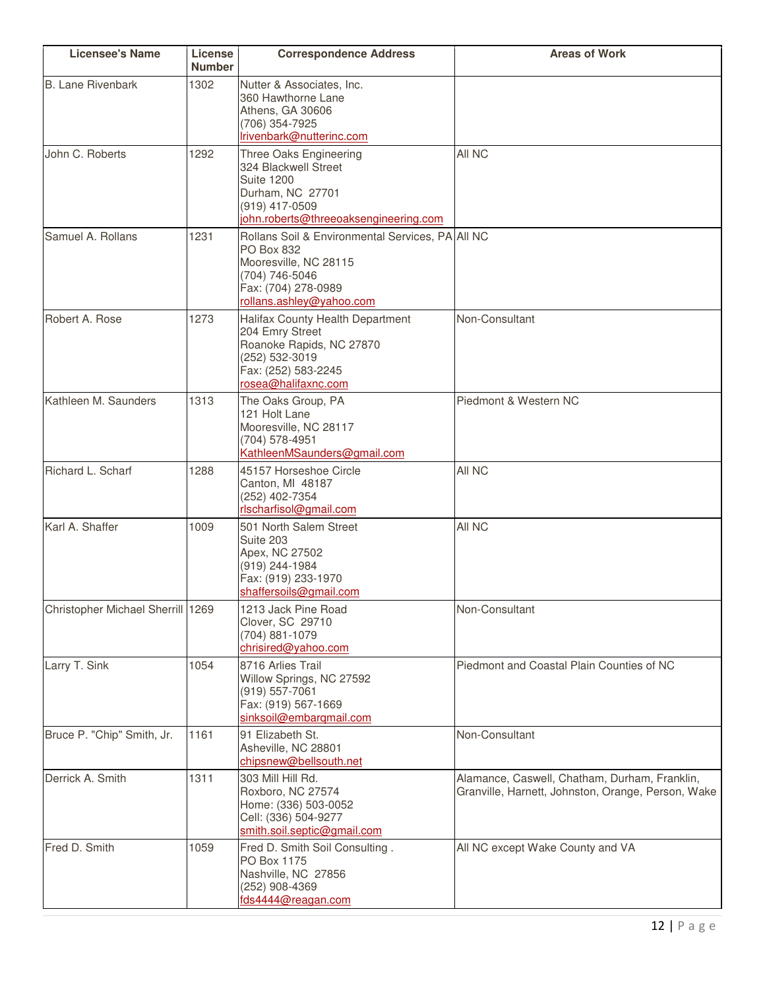| <b>Licensee's Name</b>            | License<br><b>Number</b> | <b>Correspondence Address</b>                                                                                                                                | <b>Areas of Work</b>                                                                                |
|-----------------------------------|--------------------------|--------------------------------------------------------------------------------------------------------------------------------------------------------------|-----------------------------------------------------------------------------------------------------|
| <b>B. Lane Rivenbark</b>          | 1302                     | Nutter & Associates, Inc.<br>360 Hawthorne Lane<br>Athens, GA 30606<br>(706) 354-7925<br>Irivenbark@nutterinc.com                                            |                                                                                                     |
| John C. Roberts                   | 1292                     | Three Oaks Engineering<br>324 Blackwell Street<br><b>Suite 1200</b><br>Durham, NC 27701<br>(919) 417-0509<br>john.roberts@threeoaksengineering.com           | All NC                                                                                              |
| Samuel A. Rollans                 | 1231                     | Rollans Soil & Environmental Services, PA All NC<br>PO Box 832<br>Mooresville, NC 28115<br>(704) 746-5046<br>Fax: (704) 278-0989<br>rollans.ashley@yahoo.com |                                                                                                     |
| Robert A. Rose                    | 1273                     | Halifax County Health Department<br>204 Emry Street<br>Roanoke Rapids, NC 27870<br>(252) 532-3019<br>Fax: (252) 583-2245<br>rosea@halifaxnc.com              | Non-Consultant                                                                                      |
| Kathleen M. Saunders              | 1313                     | The Oaks Group, PA<br>121 Holt Lane<br>Mooresville, NC 28117<br>(704) 578-4951<br>KathleenMSaunders@gmail.com                                                | Piedmont & Western NC                                                                               |
| Richard L. Scharf                 | 1288                     | 45157 Horseshoe Circle<br>Canton, MI 48187<br>(252) 402-7354<br>rlscharfisol@gmail.com                                                                       | All NC                                                                                              |
| Karl A. Shaffer                   | 1009                     | 501 North Salem Street<br>Suite 203<br>Apex, NC 27502<br>$(919)$ 244-1984<br>Fax: (919) 233-1970<br>shaffersoils@gmail.com                                   | All NC                                                                                              |
| Christopher Michael Sherrill 1269 |                          | 1213 Jack Pine Road<br>Clover, SC 29710<br>(704) 881-1079<br>chrisired@yahoo.com                                                                             | Non-Consultant                                                                                      |
| Larry T. Sink                     | 1054                     | 8716 Arlies Trail<br>Willow Springs, NC 27592<br>(919) 557-7061<br>Fax: (919) 567-1669<br>sinksoil@embarqmail.com                                            | Piedmont and Coastal Plain Counties of NC                                                           |
| Bruce P. "Chip" Smith, Jr.        | 1161                     | 91 Elizabeth St.<br>Asheville, NC 28801<br>chipsnew@bellsouth.net                                                                                            | Non-Consultant                                                                                      |
| Derrick A. Smith                  | 1311                     | 303 Mill Hill Rd.<br>Roxboro, NC 27574<br>Home: (336) 503-0052<br>Cell: (336) 504-9277<br>smith.soil.septic@gmail.com                                        | Alamance, Caswell, Chatham, Durham, Franklin,<br>Granville, Harnett, Johnston, Orange, Person, Wake |
| Fred D. Smith                     | 1059                     | Fred D. Smith Soil Consulting.<br>PO Box 1175<br>Nashville, NC 27856<br>(252) 908-4369<br>fds4444@reagan.com                                                 | All NC except Wake County and VA                                                                    |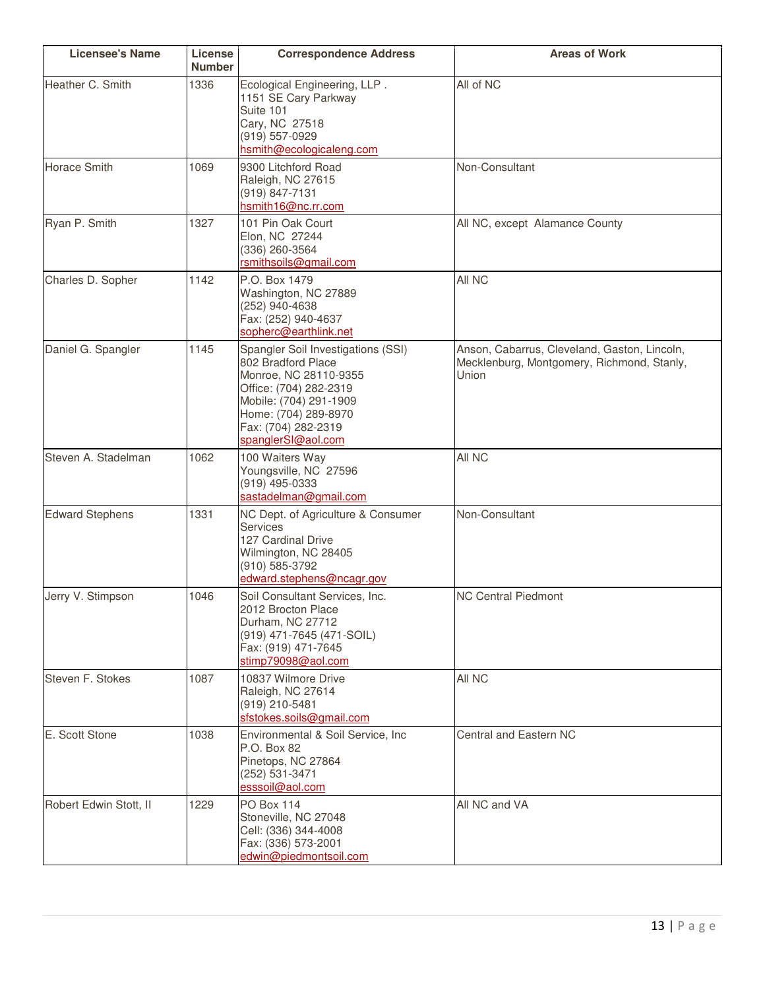| <b>Licensee's Name</b> | License<br><b>Number</b> | <b>Correspondence Address</b>                                                                                                                                                                              | <b>Areas of Work</b>                                                                                |
|------------------------|--------------------------|------------------------------------------------------------------------------------------------------------------------------------------------------------------------------------------------------------|-----------------------------------------------------------------------------------------------------|
| Heather C. Smith       | 1336                     | Ecological Engineering, LLP.<br>1151 SE Cary Parkway<br>Suite 101<br>Cary, NC 27518<br>(919) 557-0929<br>hsmith@ecologicaleng.com                                                                          | All of NC                                                                                           |
| <b>Horace Smith</b>    | 1069                     | 9300 Litchford Road<br>Raleigh, NC 27615<br>(919) 847-7131<br>hsmith16@nc.rr.com                                                                                                                           | Non-Consultant                                                                                      |
| Ryan P. Smith          | 1327                     | 101 Pin Oak Court<br>Elon, NC 27244<br>(336) 260-3564<br>rsmithsoils@gmail.com                                                                                                                             | All NC, except Alamance County                                                                      |
| Charles D. Sopher      | 1142                     | P.O. Box 1479<br>Washington, NC 27889<br>(252) 940-4638<br>Fax: (252) 940-4637<br>sopherc@earthlink.net                                                                                                    | All NC                                                                                              |
| Daniel G. Spangler     | 1145                     | Spangler Soil Investigations (SSI)<br>802 Bradford Place<br>Monroe, NC 28110-9355<br>Office: (704) 282-2319<br>Mobile: (704) 291-1909<br>Home: (704) 289-8970<br>Fax: (704) 282-2319<br>spanglerSI@aol.com | Anson, Cabarrus, Cleveland, Gaston, Lincoln,<br>Mecklenburg, Montgomery, Richmond, Stanly,<br>Union |
| Steven A. Stadelman    | 1062                     | 100 Waiters Way<br>Youngsville, NC 27596<br>(919) 495-0333<br>sastadelman@gmail.com                                                                                                                        | All NC                                                                                              |
| <b>Edward Stephens</b> | 1331                     | NC Dept. of Agriculture & Consumer<br>Services<br>127 Cardinal Drive<br>Wilmington, NC 28405<br>(910) 585-3792<br>edward.stephens@ncagr.gov                                                                | Non-Consultant                                                                                      |
| Jerry V. Stimpson      | 1046                     | Soil Consultant Services, Inc.<br>2012 Brocton Place<br>Durham, NC 27712<br>(919) 471-7645 (471-SOIL)<br>Fax: (919) 471-7645<br>stimp79098@aol.com                                                         | <b>NC Central Piedmont</b>                                                                          |
| Steven F. Stokes       | 1087                     | 10837 Wilmore Drive<br>Raleigh, NC 27614<br>(919) 210-5481<br>sfstokes.soils@gmail.com                                                                                                                     | All NC                                                                                              |
| E. Scott Stone         | 1038                     | Environmental & Soil Service, Inc<br>P.O. Box 82<br>Pinetops, NC 27864<br>(252) 531-3471<br>esssoil@aol.com                                                                                                | Central and Eastern NC                                                                              |
| Robert Edwin Stott, II | 1229                     | <b>PO Box 114</b><br>Stoneville, NC 27048<br>Cell: (336) 344-4008<br>Fax: (336) 573-2001<br>edwin@piedmontsoil.com                                                                                         | All NC and VA                                                                                       |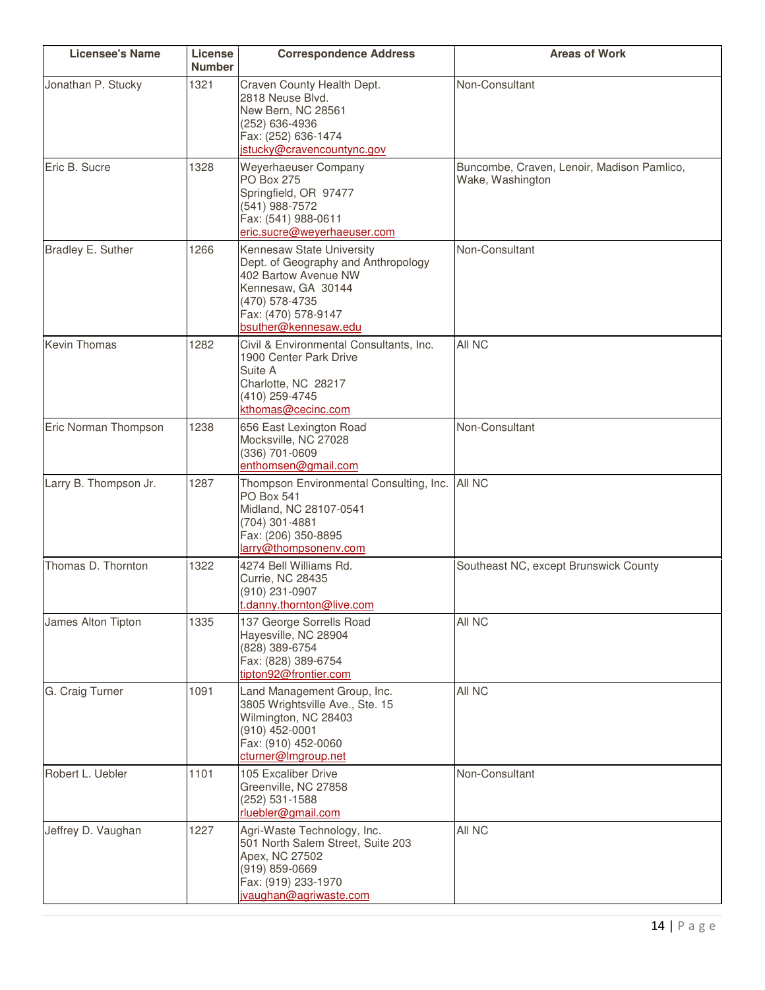| <b>Licensee's Name</b> | License<br><b>Number</b> | <b>Correspondence Address</b>                                                                                                                                                   | <b>Areas of Work</b>                                           |
|------------------------|--------------------------|---------------------------------------------------------------------------------------------------------------------------------------------------------------------------------|----------------------------------------------------------------|
| Jonathan P. Stucky     | 1321                     | Craven County Health Dept.<br>2818 Neuse Blvd.<br>New Bern, NC 28561<br>(252) 636-4936<br>Fax: (252) 636-1474<br>jstucky@cravencountync.gov                                     | Non-Consultant                                                 |
| Eric B. Sucre          | 1328                     | Weyerhaeuser Company<br><b>PO Box 275</b><br>Springfield, OR 97477<br>(541) 988-7572<br>Fax: (541) 988-0611<br>eric.sucre@weyerhaeuser.com                                      | Buncombe, Craven, Lenoir, Madison Pamlico,<br>Wake, Washington |
| Bradley E. Suther      | 1266                     | Kennesaw State University<br>Dept. of Geography and Anthropology<br>402 Bartow Avenue NW<br>Kennesaw, GA 30144<br>(470) 578-4735<br>Fax: (470) 578-9147<br>bsuther@kennesaw.edu | Non-Consultant                                                 |
| <b>Kevin Thomas</b>    | 1282                     | Civil & Environmental Consultants, Inc.<br>1900 Center Park Drive<br>Suite A<br>Charlotte, NC 28217<br>(410) 259-4745<br>kthomas@cecinc.com                                     | All NC                                                         |
| Eric Norman Thompson   | 1238                     | 656 East Lexington Road<br>Mocksville, NC 27028<br>(336) 701-0609<br>enthomsen@gmail.com                                                                                        | Non-Consultant                                                 |
| Larry B. Thompson Jr.  | 1287                     | Thompson Environmental Consulting, Inc.<br><b>PO Box 541</b><br>Midland, NC 28107-0541<br>(704) 301-4881<br>Fax: (206) 350-8895<br>larry@thompsonenv.com                        | All NC                                                         |
| Thomas D. Thornton     | 1322                     | 4274 Bell Williams Rd.<br><b>Currie, NC 28435</b><br>(910) 231-0907<br>t.danny.thornton@live.com                                                                                | Southeast NC, except Brunswick County                          |
| James Alton Tipton     | 1335                     | 137 George Sorrells Road<br>Hayesville, NC 28904<br>(828) 389-6754<br>Fax: (828) 389-6754<br>tipton92@frontier.com                                                              | All NC                                                         |
| G. Craig Turner        | 1091                     | Land Management Group, Inc.<br>3805 Wrightsville Ave., Ste. 15<br>Wilmington, NC 28403<br>(910) 452-0001<br>Fax: (910) 452-0060<br>cturner@Imgroup.net                          | All NC                                                         |
| Robert L. Uebler       | 1101                     | 105 Excaliber Drive<br>Greenville, NC 27858<br>(252) 531-1588<br>rluebler@gmail.com                                                                                             | Non-Consultant                                                 |
| Jeffrey D. Vaughan     | 1227                     | Agri-Waste Technology, Inc.<br>501 North Salem Street, Suite 203<br>Apex, NC 27502<br>(919) 859-0669<br>Fax: (919) 233-1970<br>jvaughan@agriwaste.com                           | All NC                                                         |